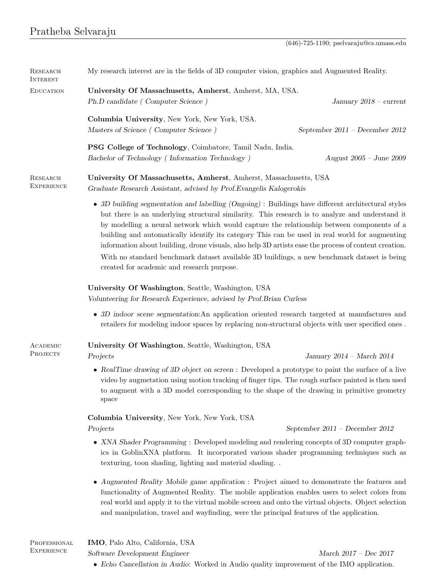| <b>RESEARCH</b><br><b>INTEREST</b> | My research interest are in the fields of 3D computer vision, graphics and Augmented Reality.                                                                                                                                                                                                                                                                                                                                                                                                                                                                                                                                                                                                                                                                                                                                                                                                                                                                                                                                                                                                                                                |                                |
|------------------------------------|----------------------------------------------------------------------------------------------------------------------------------------------------------------------------------------------------------------------------------------------------------------------------------------------------------------------------------------------------------------------------------------------------------------------------------------------------------------------------------------------------------------------------------------------------------------------------------------------------------------------------------------------------------------------------------------------------------------------------------------------------------------------------------------------------------------------------------------------------------------------------------------------------------------------------------------------------------------------------------------------------------------------------------------------------------------------------------------------------------------------------------------------|--------------------------------|
| <b>EDUCATION</b>                   | University Of Massachusetts, Amherst, Amherst, MA, USA.<br>Ph.D candidate (Computer Science)                                                                                                                                                                                                                                                                                                                                                                                                                                                                                                                                                                                                                                                                                                                                                                                                                                                                                                                                                                                                                                                 | January $2018$ – current       |
|                                    | Columbia University, New York, New York, USA.<br>Masters of Science (Computer Science)                                                                                                                                                                                                                                                                                                                                                                                                                                                                                                                                                                                                                                                                                                                                                                                                                                                                                                                                                                                                                                                       | September 2011 - December 2012 |
|                                    | PSG College of Technology, Coimbatore, Tamil Nadu, India.<br>Bachelor of Technology (Information Technology)                                                                                                                                                                                                                                                                                                                                                                                                                                                                                                                                                                                                                                                                                                                                                                                                                                                                                                                                                                                                                                 | August $2005$ – June $2009$    |
| RESEARCH<br><b>EXPERIENCE</b>      | University Of Massachusetts, Amherst, Amherst, Massachusetts, USA<br>Graduate Research Assistant, advised by Prof. Evangelis Kalogerokis<br>• 3D building segmentation and labelling (Ongoing) : Buildings have different architectural styles<br>but there is an underlying structural similarity. This research is to analyze and understand it<br>by modelling a neural network which would capture the relationship between components of a<br>building and automatically identify its category This can be used in real world for augmenting<br>information about building, drone visuals, also help 3D artists ease the process of content creation.<br>With no standard benchmark dataset available 3D buildings, a new benchmark dataset is being<br>created for academic and research purpose.<br>University Of Washington, Seattle, Washington, USA<br>Volunteering for Research Experience, advised by Prof. Brian Curless<br>• 3D indoor scene segmentation: An application oriented research targeted at manufactures and<br>retailers for modeling indoor spaces by replacing non-structural objects with user specified ones. |                                |
|                                    |                                                                                                                                                                                                                                                                                                                                                                                                                                                                                                                                                                                                                                                                                                                                                                                                                                                                                                                                                                                                                                                                                                                                              |                                |
|                                    |                                                                                                                                                                                                                                                                                                                                                                                                                                                                                                                                                                                                                                                                                                                                                                                                                                                                                                                                                                                                                                                                                                                                              |                                |
|                                    |                                                                                                                                                                                                                                                                                                                                                                                                                                                                                                                                                                                                                                                                                                                                                                                                                                                                                                                                                                                                                                                                                                                                              |                                |
| ACADEMIC                           | University Of Washington, Seattle, Washington, USA                                                                                                                                                                                                                                                                                                                                                                                                                                                                                                                                                                                                                                                                                                                                                                                                                                                                                                                                                                                                                                                                                           |                                |
| PROJECTS                           | Projects                                                                                                                                                                                                                                                                                                                                                                                                                                                                                                                                                                                                                                                                                                                                                                                                                                                                                                                                                                                                                                                                                                                                     | January $2014$ – March $2014$  |
|                                    | • RealTime drawing of 3D object on screen : Developed a prototype to paint the surface of a live<br>video by augmetation using motion tracking of finger tips. The rough surface painted is then used<br>to augment with a 3D model corresponding to the shape of the drawing in primitive geometry<br>space                                                                                                                                                                                                                                                                                                                                                                                                                                                                                                                                                                                                                                                                                                                                                                                                                                 |                                |
|                                    | Columbia University, New York, New York, USA                                                                                                                                                                                                                                                                                                                                                                                                                                                                                                                                                                                                                                                                                                                                                                                                                                                                                                                                                                                                                                                                                                 |                                |
|                                    | Projects                                                                                                                                                                                                                                                                                                                                                                                                                                                                                                                                                                                                                                                                                                                                                                                                                                                                                                                                                                                                                                                                                                                                     | September 2011 - December 2012 |
|                                    | • XNA Shader Programming : Developed modeling and rendering concepts of 3D computer graph-<br>ics in GoblinXNA platform. It incorporated various shader programming techniques such as<br>texturing, toon shading, lighting and material shading                                                                                                                                                                                                                                                                                                                                                                                                                                                                                                                                                                                                                                                                                                                                                                                                                                                                                             |                                |
|                                    | • Augmented Reality Mobile game application : Project aimed to demonstrate the features and<br>functionality of Augmented Reality. The mobile application enables users to select colors from<br>real world and apply it to the virtual mobile screen and onto the virtual objects. Object selection<br>and manipulation, travel and wayfinding, were the principal features of the application.                                                                                                                                                                                                                                                                                                                                                                                                                                                                                                                                                                                                                                                                                                                                             |                                |